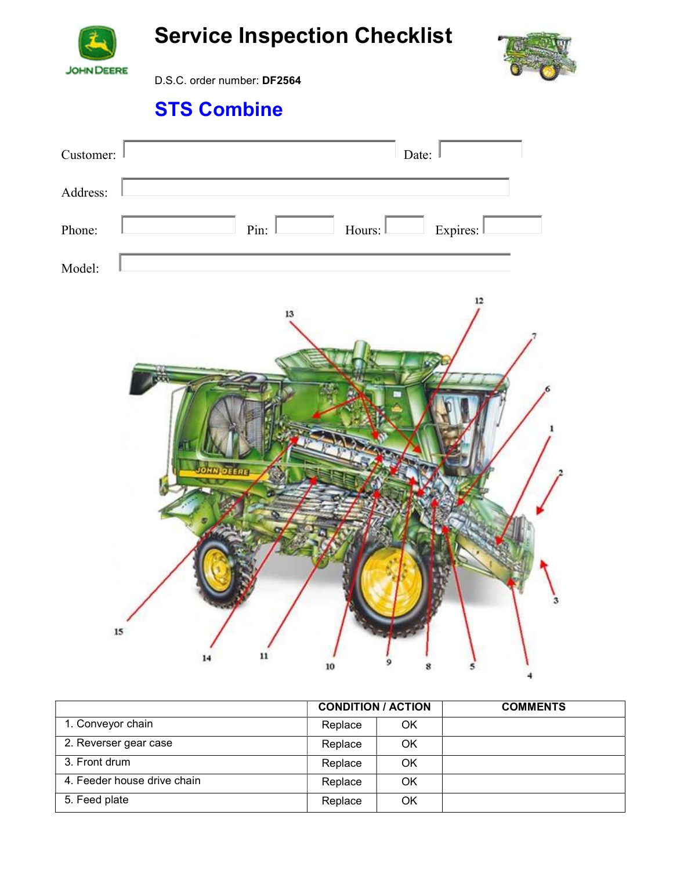

Service Inspection Checklist



D.S.C. order number: DF2564

## STS Combine



|                             | <b>CONDITION / ACTION</b> |    | <b>COMMENTS</b> |
|-----------------------------|---------------------------|----|-----------------|
| 1. Conveyor chain           | Replace                   | OK |                 |
| 2. Reverser gear case       | Replace                   | OK |                 |
| 3. Front drum               | Replace                   | OK |                 |
| 4. Feeder house drive chain | Replace                   | OK |                 |
| 5. Feed plate               | Replace                   | OK |                 |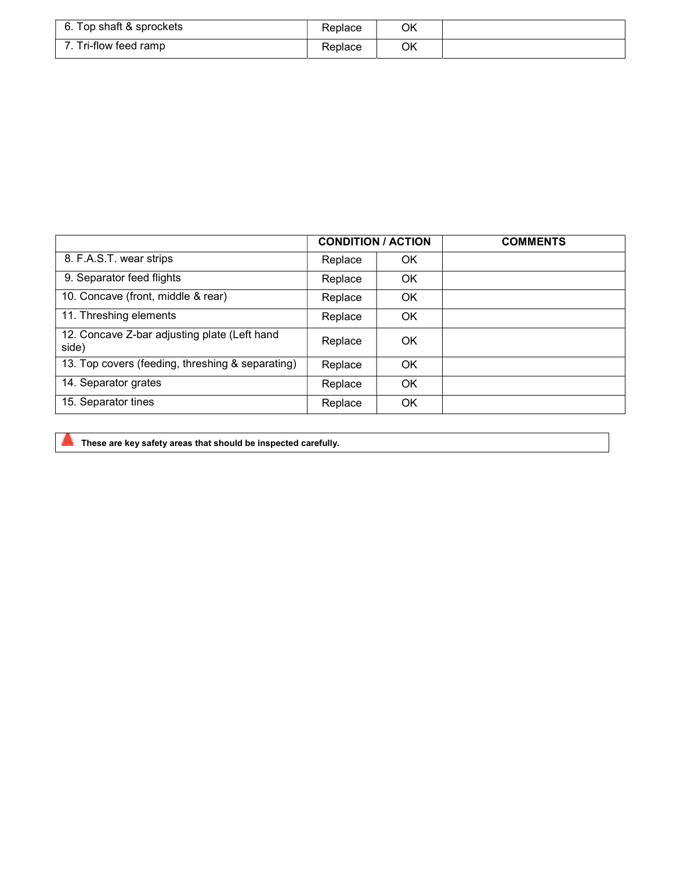| 6. Top shaft & sprockets | Replace | ОK |  |
|--------------------------|---------|----|--|
| 7. Tri-flow feed ramp    | Replace | OK |  |

|                                                       | <b>CONDITION / ACTION</b> |    | <b>COMMENTS</b> |
|-------------------------------------------------------|---------------------------|----|-----------------|
| 8. F.A.S.T. wear strips                               | Replace                   | OK |                 |
| 9. Separator feed flights                             | Replace                   | OK |                 |
| 10. Concave (front, middle & rear)                    | Replace                   | OK |                 |
| 11. Threshing elements                                | Replace                   | OK |                 |
| 12. Concave Z-bar adjusting plate (Left hand<br>side) | Replace                   | OK |                 |
| 13. Top covers (feeding, threshing & separating)      | Replace                   | OK |                 |
| 14. Separator grates                                  | Replace                   | OK |                 |
| 15. Separator tines                                   | Replace                   | OK |                 |

These are key safety areas that should be inspected carefully.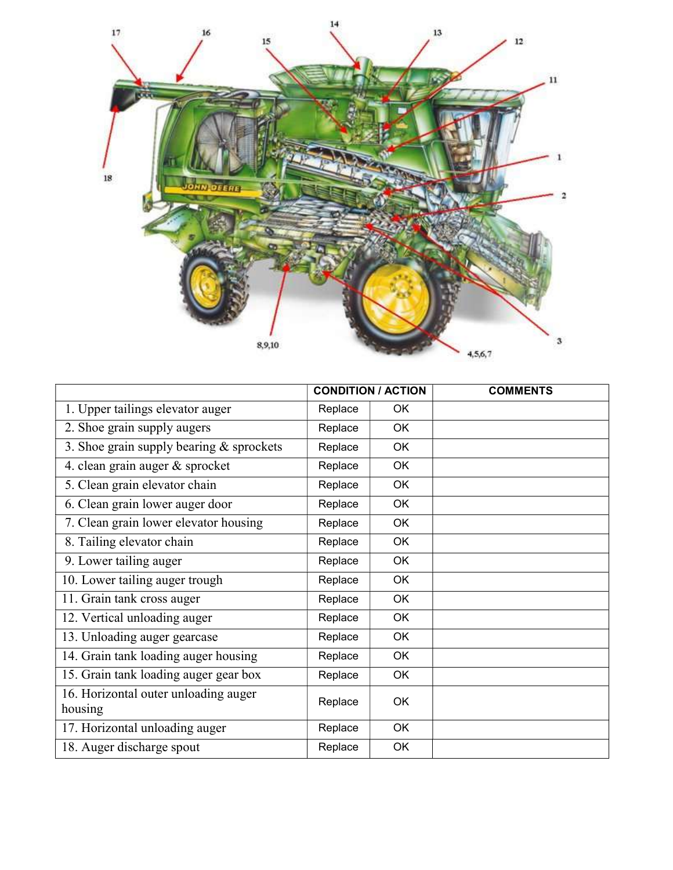

|                                                 | <b>CONDITION / ACTION</b> |           | <b>COMMENTS</b> |
|-------------------------------------------------|---------------------------|-----------|-----------------|
| 1. Upper tailings elevator auger                | Replace                   | 0K        |                 |
| 2. Shoe grain supply augers                     | Replace                   | <b>OK</b> |                 |
| 3. Shoe grain supply bearing $&$ sprockets      | Replace                   | OK        |                 |
| 4. clean grain auger & sprocket                 | Replace                   | OK        |                 |
| 5. Clean grain elevator chain                   | Replace                   | OK        |                 |
| 6. Clean grain lower auger door                 | Replace                   | <b>OK</b> |                 |
| 7. Clean grain lower elevator housing           | Replace                   | OK        |                 |
| 8. Tailing elevator chain                       | Replace                   | OK        |                 |
| 9. Lower tailing auger                          | Replace                   | OK        |                 |
| 10. Lower tailing auger trough                  | Replace                   | OK        |                 |
| 11. Grain tank cross auger                      | Replace                   | <b>OK</b> |                 |
| 12. Vertical unloading auger                    | Replace                   | OK        |                 |
| 13. Unloading auger gearcase                    | Replace                   | OK        |                 |
| 14. Grain tank loading auger housing            | Replace                   | OK        |                 |
| 15. Grain tank loading auger gear box           | Replace                   | OK        |                 |
| 16. Horizontal outer unloading auger<br>housing | Replace                   | OK        |                 |
| 17. Horizontal unloading auger                  | Replace                   | OK        |                 |
| 18. Auger discharge spout                       | Replace                   | OK        |                 |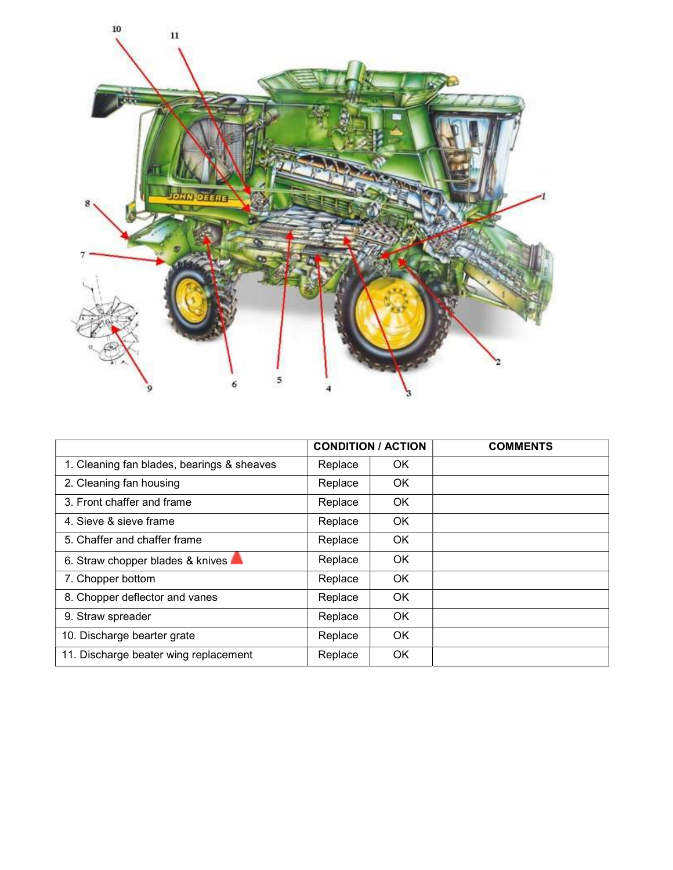

|                                            | <b>CONDITION / ACTION</b> |           | <b>COMMENTS</b> |
|--------------------------------------------|---------------------------|-----------|-----------------|
| 1. Cleaning fan blades, bearings & sheaves | Replace                   | <b>OK</b> |                 |
| 2. Cleaning fan housing                    | Replace                   | <b>OK</b> |                 |
| 3. Front chaffer and frame                 | Replace                   | <b>OK</b> |                 |
| 4. Sieve & sieve frame                     | Replace                   | <b>OK</b> |                 |
| 5. Chaffer and chaffer frame               | Replace                   | <b>OK</b> |                 |
| 6. Straw chopper blades & knives           | Replace                   | <b>OK</b> |                 |
| 7. Chopper bottom                          | Replace                   | <b>OK</b> |                 |
| 8. Chopper deflector and vanes             | Replace                   | <b>OK</b> |                 |
| 9. Straw spreader                          | Replace                   | <b>OK</b> |                 |
| 10. Discharge bearter grate                | Replace                   | OK.       |                 |
| 11. Discharge beater wing replacement      | Replace                   | <b>OK</b> |                 |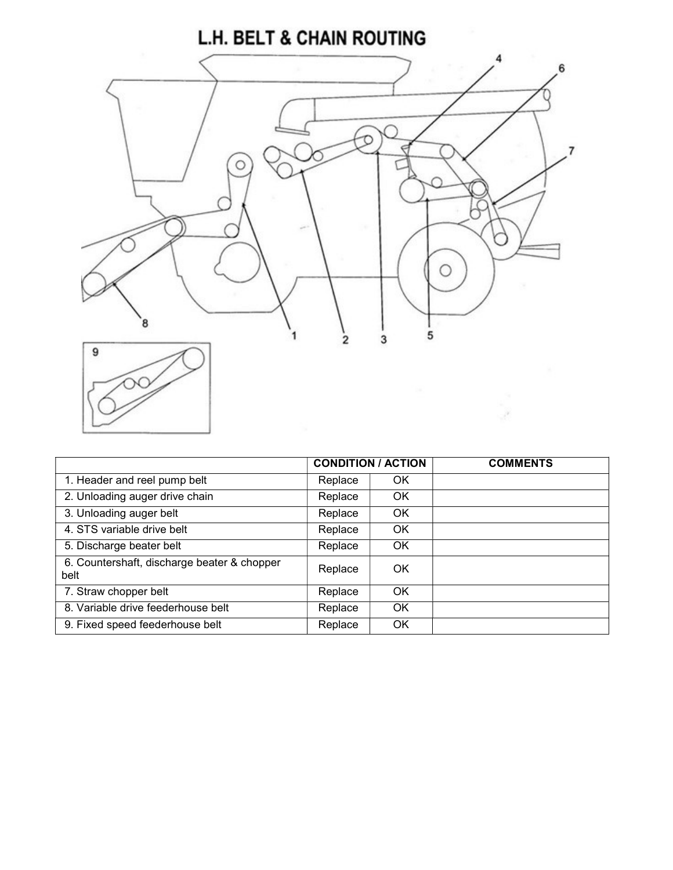## **L.H. BELT & CHAIN ROUTING**



|                                                     |         | <b>CONDITION / ACTION</b> | <b>COMMENTS</b> |
|-----------------------------------------------------|---------|---------------------------|-----------------|
| 1. Header and reel pump belt                        | Replace | OK                        |                 |
| 2. Unloading auger drive chain                      | Replace | <b>OK</b>                 |                 |
| 3. Unloading auger belt                             | Replace | <b>OK</b>                 |                 |
| 4. STS variable drive belt                          | Replace | OK                        |                 |
| 5. Discharge beater belt                            | Replace | OK                        |                 |
| 6. Countershaft, discharge beater & chopper<br>belt | Replace | OK                        |                 |
| 7. Straw chopper belt                               | Replace | OK                        |                 |
| 8. Variable drive feederhouse belt                  | Replace | OK                        |                 |
| 9. Fixed speed feederhouse belt                     | Replace | OK                        |                 |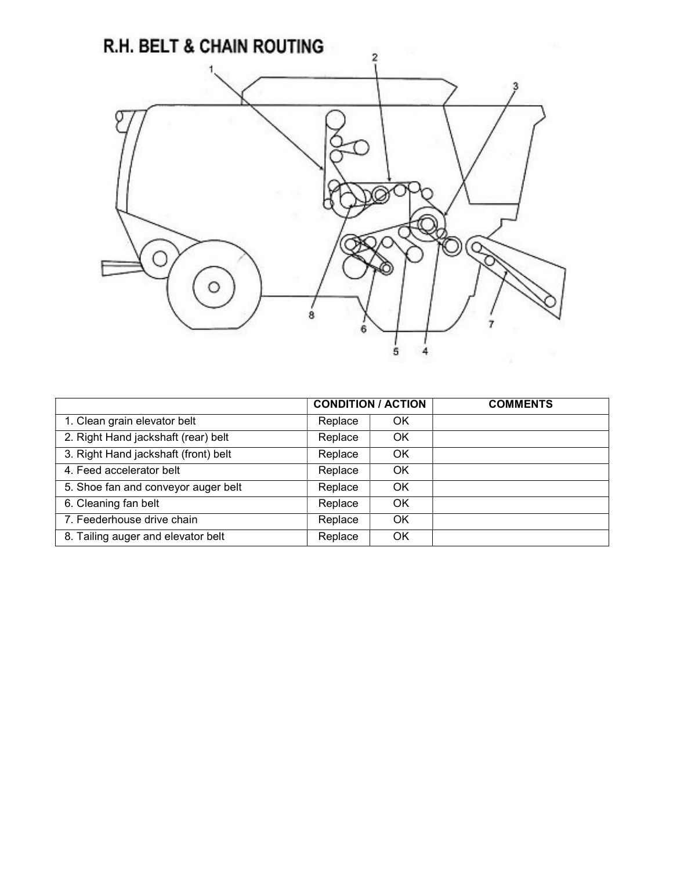

|                                      | <b>CONDITION / ACTION</b> |    | <b>COMMENTS</b> |
|--------------------------------------|---------------------------|----|-----------------|
| 1. Clean grain elevator belt         | Replace                   | ΟK |                 |
| 2. Right Hand jackshaft (rear) belt  | Replace                   | ΟK |                 |
| 3. Right Hand jackshaft (front) belt | Replace                   | ΟK |                 |
| 4. Feed accelerator belt             | Replace                   | OK |                 |
| 5. Shoe fan and conveyor auger belt  | Replace                   | ΟK |                 |
| 6. Cleaning fan belt                 | Replace                   | OK |                 |
| 7. Feederhouse drive chain           | Replace                   | OK |                 |
| 8. Tailing auger and elevator belt   | Replace                   | ΟK |                 |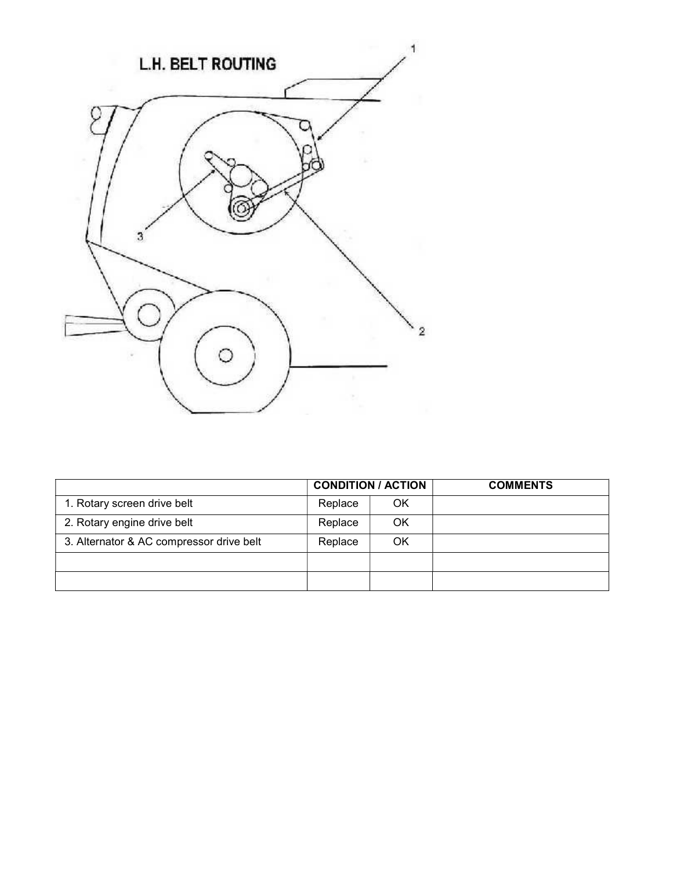

|                                          |         | <b>CONDITION / ACTION</b> | <b>COMMENTS</b> |
|------------------------------------------|---------|---------------------------|-----------------|
| 1. Rotary screen drive belt              | Replace | OK                        |                 |
| 2. Rotary engine drive belt              | Replace | OK                        |                 |
| 3. Alternator & AC compressor drive belt | Replace | ΟK                        |                 |
|                                          |         |                           |                 |
|                                          |         |                           |                 |